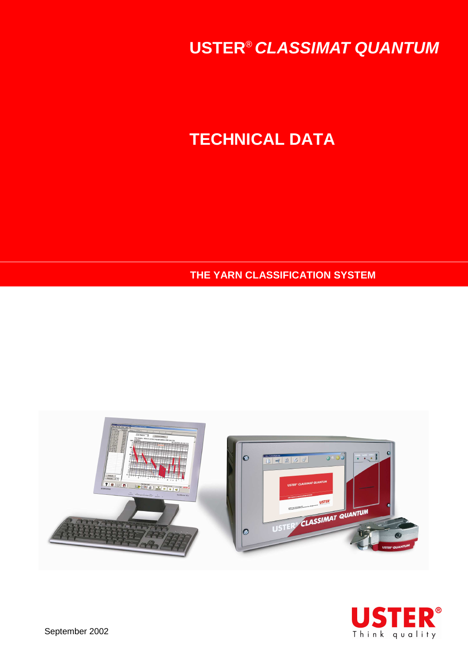**USTER**® **CLASSIMAT QUANTUM**

# **TECHNICAL DATA**

**THE YARN CLASSIFICATION SYSTEM** 







September 2002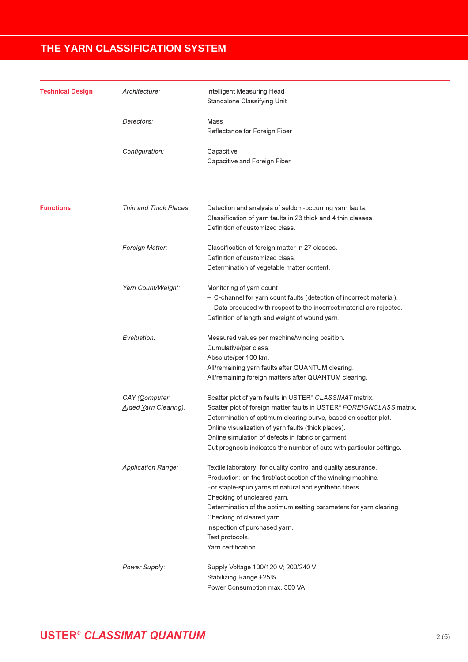| <b>Technical Design</b> | Architecture:                          | Intelligent Measuring Head<br>Standalone Classifying Unit                                                                                                                                                                                                                                                                                                                                              |  |  |  |  |  |
|-------------------------|----------------------------------------|--------------------------------------------------------------------------------------------------------------------------------------------------------------------------------------------------------------------------------------------------------------------------------------------------------------------------------------------------------------------------------------------------------|--|--|--|--|--|
|                         | Detectors:                             | Mass<br>Reflectance for Foreign Fiber                                                                                                                                                                                                                                                                                                                                                                  |  |  |  |  |  |
|                         | Configuration:                         | Capacitive<br>Capacitive and Foreign Fiber                                                                                                                                                                                                                                                                                                                                                             |  |  |  |  |  |
| <b>Functions</b>        | Thin and Thick Places:                 | Detection and analysis of seldom-occurring yarn faults.<br>Classification of yarn faults in 23 thick and 4 thin classes.<br>Definition of customized class.                                                                                                                                                                                                                                            |  |  |  |  |  |
|                         | Foreign Matter:                        | Classification of foreign matter in 27 classes.<br>Definition of customized class.<br>Determination of vegetable matter content.                                                                                                                                                                                                                                                                       |  |  |  |  |  |
|                         | Yarn Count/Weight:                     | Monitoring of yarn count<br>- C-channel for yarn count faults (detection of incorrect material).<br>- Data produced with respect to the incorrect material are rejected.<br>Definition of length and weight of wound yarn.                                                                                                                                                                             |  |  |  |  |  |
|                         | Evaluation:                            | Measured values per machine/winding position.<br>Cumulative/per class.<br>Absolute/per 100 km.<br>All/remaining yarn faults after QUANTUM clearing.<br>All/remaining foreign matters after QUANTUM clearing.                                                                                                                                                                                           |  |  |  |  |  |
|                         | CAY (Computer<br>Aided Yarn Clearing): | Scatter plot of yarn faults in USTER <sup>®</sup> CLASSIMAT matrix.<br>Scatter plot of foreign matter faults in USTER® FOREIGNCLASS matrix.<br>Determination of optimum clearing curve, based on scatter plot.<br>Online visualization of yarn faults (thick places).<br>Online simulation of defects in fabric or garment.<br>Cut prognosis indicates the number of cuts with particular settings.    |  |  |  |  |  |
|                         | <b>Application Range:</b>              | Textile laboratory: for quality control and quality assurance.<br>Production: on the first/last section of the winding machine.<br>For staple-spun yarns of natural and synthetic fibers.<br>Checking of uncleared yarn.<br>Determination of the optimum setting parameters for yarn clearing.<br>Checking of cleared yarn.<br>Inspection of purchased yarn.<br>Test protocols.<br>Yarn certification. |  |  |  |  |  |
|                         | Power Supply:                          | Supply Voltage 100/120 V; 200/240 V<br>Stabilizing Range ±25%<br>Power Consumption max. 300 VA                                                                                                                                                                                                                                                                                                         |  |  |  |  |  |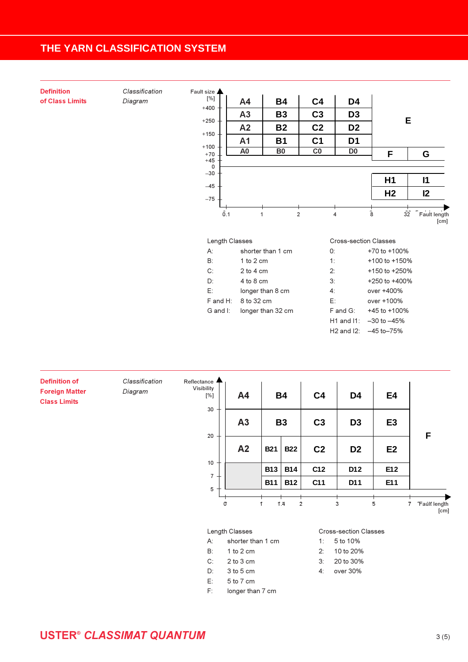| <b>Definition</b> | Classification | Fault size <b>A</b>                           |                |                   |                |                 |                              |                            |
|-------------------|----------------|-----------------------------------------------|----------------|-------------------|----------------|-----------------|------------------------------|----------------------------|
| of Class Limits   | Diagram        | $[\%]$                                        | A4             | <b>B4</b>         | C <sub>4</sub> | D <sub>4</sub>  |                              |                            |
|                   |                | $+400$                                        | A3             | <b>B3</b>         | C <sub>3</sub> | D <sub>3</sub>  |                              | E                          |
|                   |                | $+250 -$<br>C <sub>2</sub><br>A2<br><b>B2</b> |                |                   |                | D <sub>2</sub>  |                              |                            |
|                   |                | $+150$                                        | A1             | <b>B1</b>         | C <sub>1</sub> | D <sub>1</sub>  |                              |                            |
|                   |                | $+100$<br>$+70\,$                             | A <sub>0</sub> | B <sub>0</sub>    | C <sub>0</sub> | D <sub>0</sub>  | F                            | G                          |
|                   |                | $+45$<br>0                                    |                |                   |                |                 |                              |                            |
|                   |                | $-30$                                         |                |                   |                |                 | H1                           | $\mathsf{I}$               |
|                   |                | $-45$<br>$-75\,$                              |                |                   |                |                 | H <sub>2</sub>               | 12                         |
|                   |                |                                               |                |                   |                |                 |                              |                            |
|                   |                | 0.1                                           |                | $\mathbf{1}$      | $\overline{2}$ | $\overline{4}$  | 8                            | 32<br>Fault length<br>[cm] |
|                   |                | Length Classes                                |                |                   |                |                 | <b>Cross-section Classes</b> |                            |
|                   |                | A:                                            |                | shorter than 1 cm |                | 0:              | +70 to +100%                 |                            |
|                   |                | $B$ :                                         | 1 to 2 cm      |                   |                | 1:              | +100 to +150%                |                            |
|                   |                | C:                                            | $2$ to $4$ cm  |                   |                | 2:              | +150 to +250%                |                            |
|                   |                | $D$ :                                         | 4 to 8 cm      |                   |                | 3:              | +250 to +400%                |                            |
|                   |                | E:                                            |                | longer than 8 cm  |                | 4:              | over +400%                   |                            |
|                   |                | $F$ and $H$ :                                 | 8 to 32 cm     |                   |                | E:              | over +100%                   |                            |
|                   |                | G and I:                                      |                | longer than 32 cm |                | F and G:        | +45 to +100%                 |                            |
|                   |                |                                               |                |                   |                | $H1$ and $I1$ : | $-30$ to $-45%$              |                            |
|                   |                |                                               |                |                   |                | $H2$ and $I2$ : | $-45$ to $-75%$              |                            |

| <b>Definition of</b><br><b>Foreign Matter</b><br><b>Class Limits</b> | Classification<br>Diagram | Reflectance <b>A</b><br>Visibility<br>$[\%]$ | A4                |              | <b>B4</b>  | C <sub>4</sub> | D <sub>4</sub>        | E <sub>4</sub> |                                               |
|----------------------------------------------------------------------|---------------------------|----------------------------------------------|-------------------|--------------|------------|----------------|-----------------------|----------------|-----------------------------------------------|
|                                                                      |                           | 30<br>20                                     | A3                |              | <b>B3</b>  | C <sub>3</sub> | D <sub>3</sub>        | E <sub>3</sub> |                                               |
|                                                                      |                           |                                              | A <sub>2</sub>    | <b>B21</b>   | <b>B22</b> | C <sub>2</sub> | D <sub>2</sub>        | E <sub>2</sub> | F                                             |
|                                                                      |                           | 10                                           |                   | <b>B13</b>   | <b>B14</b> | C12            | D12                   | E12            |                                               |
|                                                                      |                           | $\overline{7}$<br>5                          |                   | <b>B11</b>   | <b>B12</b> | C11            | D11                   | E11            |                                               |
|                                                                      |                           |                                              | σ                 | $\mathbf{1}$ | 1.4        | $\overline{c}$ | 3                     | 5              | $\overline{7}$<br><b>Fault length</b><br>[cm] |
|                                                                      |                           |                                              | Length Classes    |              |            |                | Cross-section Classes |                |                                               |
|                                                                      |                           | А:                                           | shorter than 1 cm |              |            | 1:             | 5 to 10%              |                |                                               |
|                                                                      |                           | B:                                           | 1 to 2 cm         |              |            | 2:             | 10 to 20%             |                |                                               |
|                                                                      |                           | $C$ :                                        | 2 to 3 cm         |              |            | 3:             | 20 to 30%             |                |                                               |
|                                                                      |                           | D:                                           | 3 to 5 cm         |              |            | 4:             | over 30%              |                |                                               |
|                                                                      |                           | E:                                           | 5 to 7 cm         |              |            |                |                       |                |                                               |
|                                                                      |                           | F:                                           | longer than 7 cm  |              |            |                |                       |                |                                               |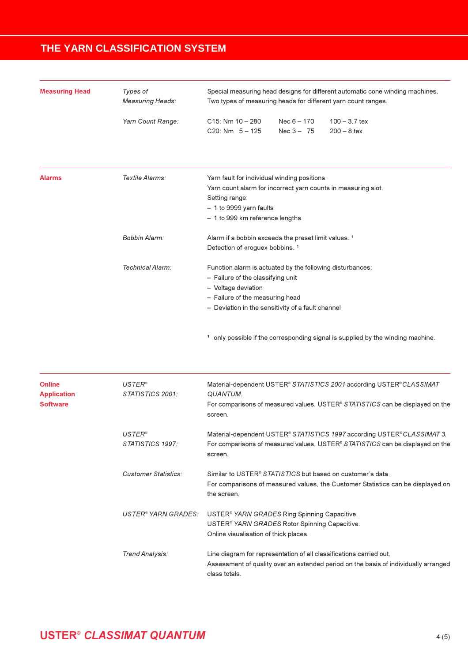| <b>Measuring Head</b> | Types of<br><b>Measuring Heads:</b> | Special measuring head designs for different automatic cone winding machines.<br>Two types of measuring heads for different yarn count ranges.                                                                |  |  |  |  |  |
|-----------------------|-------------------------------------|---------------------------------------------------------------------------------------------------------------------------------------------------------------------------------------------------------------|--|--|--|--|--|
|                       | Yarn Count Range:                   | $C15: Nm 10 - 280$<br>Nec $6 - 170$<br>$100 - 3.7$ tex<br>$C20: Nm \quad 5-125$<br>Nec $3 - 75$<br>$200 - 8$ tex                                                                                              |  |  |  |  |  |
|                       |                                     |                                                                                                                                                                                                               |  |  |  |  |  |
| <b>Alarms</b>         | Textile Alarms:                     | Yarn fault for individual winding positions.<br>Yarn count alarm for incorrect yarn counts in measuring slot.<br>Setting range:<br>- 1 to 9999 yarn faults<br>- 1 to 999 km reference lengths                 |  |  |  |  |  |
|                       | Bobbin Alarm:                       | Alarm if a bobbin exceeds the preset limit values. <sup>1</sup><br>Detection of «rogue» bobbins. 1                                                                                                            |  |  |  |  |  |
|                       | Technical Alarm:                    | Function alarm is actuated by the following disturbances:<br>- Failure of the classifying unit<br>- Voltage deviation<br>- Failure of the measuring head<br>- Deviation in the sensitivity of a fault channel |  |  |  |  |  |

<sup>1</sup> only possible if the corresponding signal is supplied by the winding machine.

| <b>Online</b><br><b>Application</b><br><b>Software</b> | $USTER^{\circ}$<br>STATISTICS 2001: | Material-dependent USTER® STATISTICS 2001 according USTER® CLASSIMAT<br><b>QUANTUM.</b><br>For comparisons of measured values, USTER <sup>®</sup> STATISTICS can be displayed on the<br>screen. |
|--------------------------------------------------------|-------------------------------------|-------------------------------------------------------------------------------------------------------------------------------------------------------------------------------------------------|
|                                                        | $USTER^{\circ}$<br>STATISTICS 1997: | Material-dependent USTER® STATISTICS 1997 according USTER® CLASSIMAT 3.<br>For comparisons of measured values, USTER <sup>®</sup> STATISTICS can be displayed on the<br>screen.                 |
|                                                        | Customer Statistics:                | Similar to USTER <sup>®</sup> STATISTICS but based on customer's data.<br>For comparisons of measured values, the Customer Statistics can be displayed on<br>the screen.                        |
|                                                        | USTER® YARN GRADES:                 | USTER <sup>®</sup> YARN GRADES Ring Spinning Capacitive.<br>USTER <sup>®</sup> YARN GRADES Rotor Spinning Capacitive.<br>Online visualisation of thick places.                                  |
|                                                        | Trend Analysis:                     | Line diagram for representation of all classifications carried out.<br>Assessment of quality over an extended period on the basis of individually arranged<br>class totals.                     |